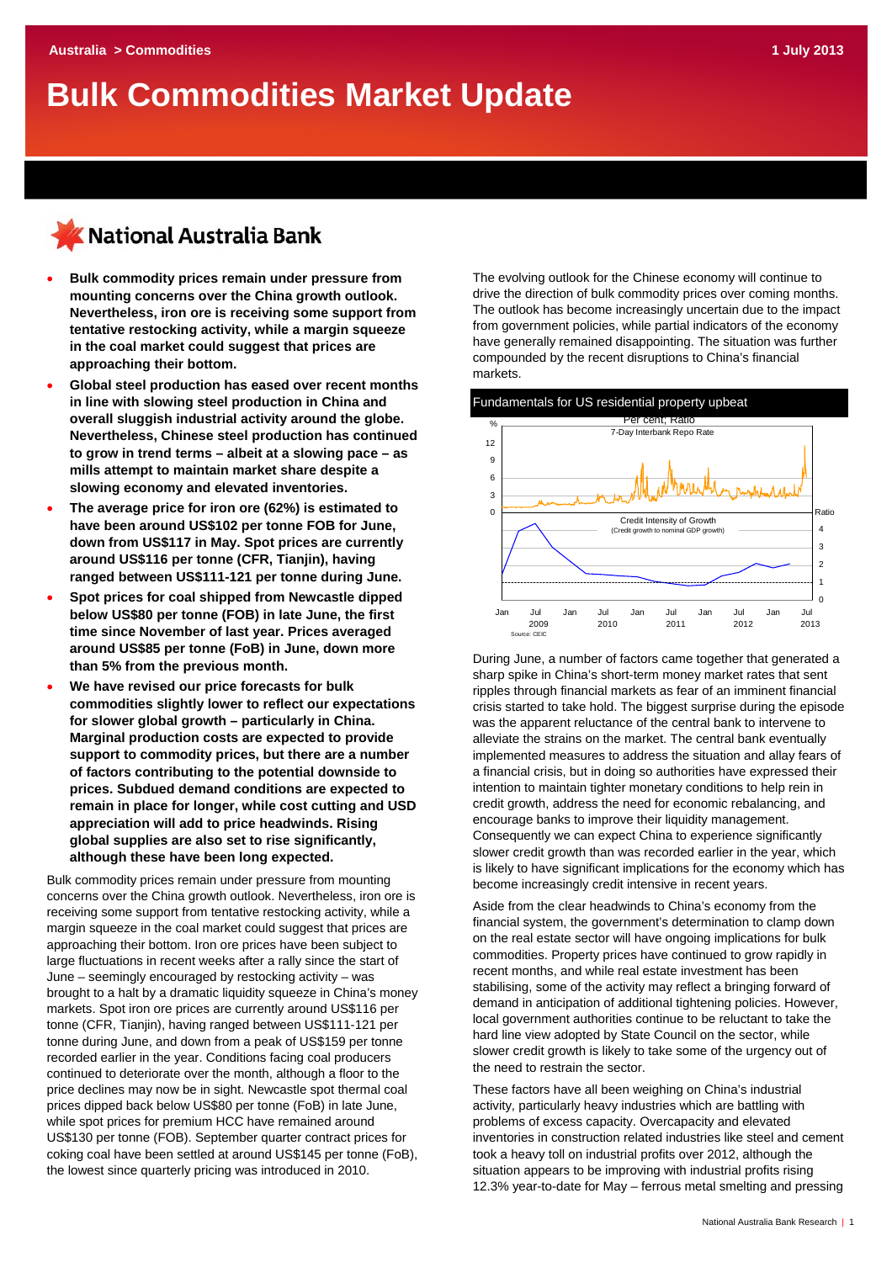# **Bulk Commodities Market Update**

## K National Australia Bank

- **Bulk commodity prices remain under pressure from mounting concerns over the China growth outlook. Nevertheless, iron ore is receiving some support from tentative restocking activity, while a margin squeeze in the coal market could suggest that prices are approaching their bottom.**
- **Global steel production has eased over recent months in line with slowing steel production in China and overall sluggish industrial activity around the globe. Nevertheless, Chinese steel production has continued to grow in trend terms – albeit at a slowing pace – as mills attempt to maintain market share despite a slowing economy and elevated inventories.**
- **The average price for iron ore (62%) is estimated to have been around US\$102 per tonne FOB for June, down from US\$117 in May. Spot prices are currently around US\$116 per tonne (CFR, Tianjin), having ranged between US\$111-121 per tonne during June.**
- **Spot prices for coal shipped from Newcastle dipped below US\$80 per tonne (FOB) in late June, the first time since November of last year. Prices averaged around US\$85 per tonne (FoB) in June, down more than 5% from the previous month.**
- **We have revised our price forecasts for bulk commodities slightly lower to reflect our expectations for slower global growth – particularly in China. Marginal production costs are expected to provide support to commodity prices, but there are a number of factors contributing to the potential downside to prices. Subdued demand conditions are expected to remain in place for longer, while cost cutting and USD appreciation will add to price headwinds. Rising global supplies are also set to rise significantly, although these have been long expected.**

Bulk commodity prices remain under pressure from mounting concerns over the China growth outlook. Nevertheless, iron ore is receiving some support from tentative restocking activity, while a margin squeeze in the coal market could suggest that prices are approaching their bottom. Iron ore prices have been subject to large fluctuations in recent weeks after a rally since the start of June – seemingly encouraged by restocking activity – was brought to a halt by a dramatic liquidity squeeze in China's money markets. Spot iron ore prices are currently around US\$116 per tonne (CFR, Tianjin), having ranged between US\$111-121 per tonne during June, and down from a peak of US\$159 per tonne recorded earlier in the year. Conditions facing coal producers continued to deteriorate over the month, although a floor to the price declines may now be in sight. Newcastle spot thermal coal prices dipped back below US\$80 per tonne (FoB) in late June, while spot prices for premium HCC have remained around US\$130 per tonne (FOB). September quarter contract prices for coking coal have been settled at around US\$145 per tonne (FoB), the lowest since quarterly pricing was introduced in 2010.

The evolving outlook for the Chinese economy will continue to drive the direction of bulk commodity prices over coming months. The outlook has become increasingly uncertain due to the impact from government policies, while partial indicators of the economy have generally remained disappointing. The situation was further compounded by the recent disruptions to China's financial markets.



During June, a number of factors came together that generated a sharp spike in China's short-term money market rates that sent ripples through financial markets as fear of an imminent financial crisis started to take hold. The biggest surprise during the episode was the apparent reluctance of the central bank to intervene to alleviate the strains on the market. The central bank eventually implemented measures to address the situation and allay fears of a financial crisis, but in doing so authorities have expressed their intention to maintain tighter monetary conditions to help rein in credit growth, address the need for economic rebalancing, and encourage banks to improve their liquidity management. Consequently we can expect China to experience significantly slower credit growth than was recorded earlier in the year, which is likely to have significant implications for the economy which has become increasingly credit intensive in recent years.

Aside from the clear headwinds to China's economy from the financial system, the government's determination to clamp down on the real estate sector will have ongoing implications for bulk commodities. Property prices have continued to grow rapidly in recent months, and while real estate investment has been stabilising, some of the activity may reflect a bringing forward of demand in anticipation of additional tightening policies. However, local government authorities continue to be reluctant to take the hard line view adopted by State Council on the sector, while slower credit growth is likely to take some of the urgency out of the need to restrain the sector.

These factors have all been weighing on China's industrial activity, particularly heavy industries which are battling with problems of excess capacity. Overcapacity and elevated inventories in construction related industries like steel and cement took a heavy toll on industrial profits over 2012, although the situation appears to be improving with industrial profits rising 12.3% year-to-date for May – ferrous metal smelting and pressing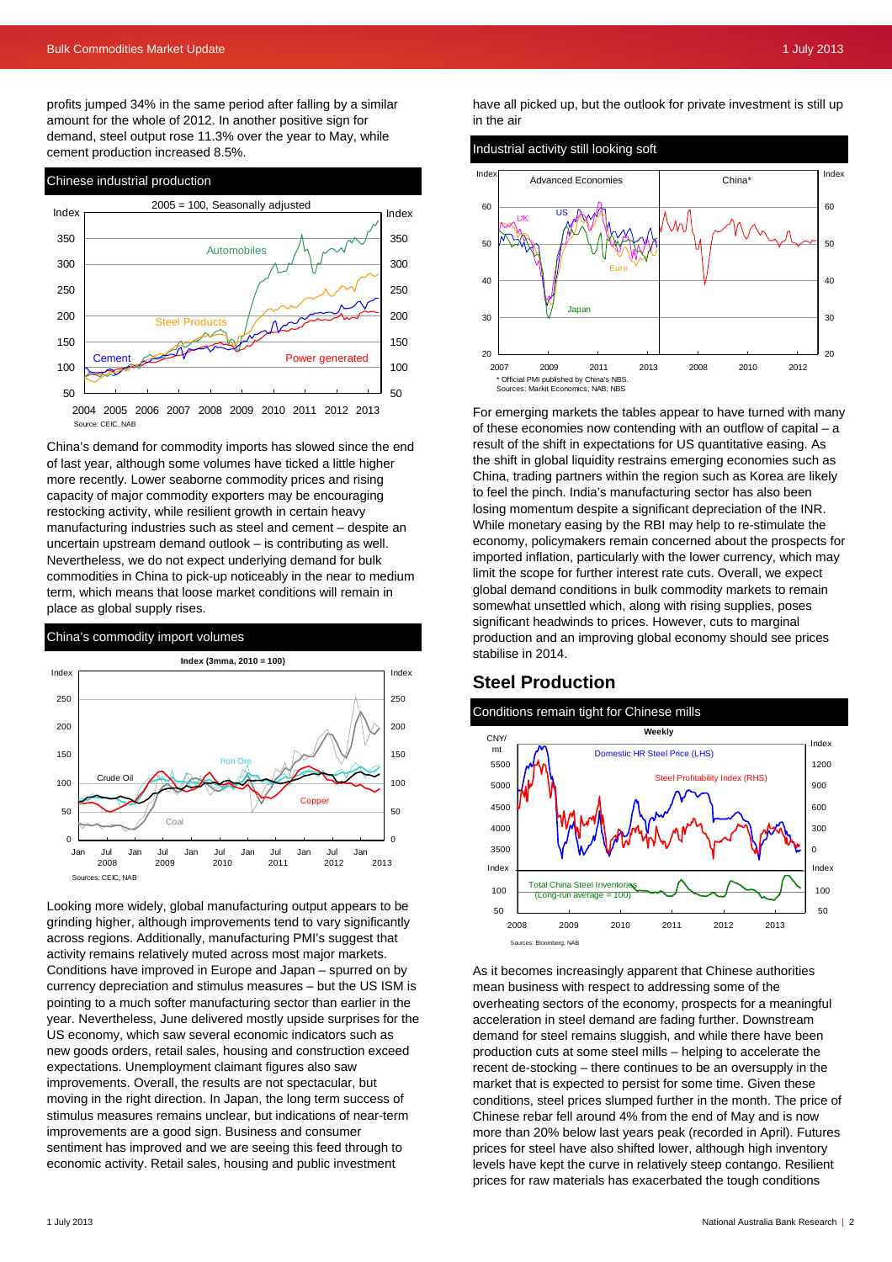profits jumped 34% in the same period after falling by a similar amount for the whole of 2012. In another positive sign for demand, steel output rose 11.3% over the year to May, while cement production increased 8.5%.



China's demand for commodity imports has slowed since the end of last year, although some volumes have ticked a little higher more recently. Lower seaborne commodity prices and rising capacity of major commodity exporters may be encouraging restocking activity, while resilient growth in certain heavy manufacturing industries such as steel and cement – despite an uncertain upstream demand outlook – is contributing as well. Nevertheless, we do not expect underlying demand for bulk commodities in China to pick-up noticeably in the near to medium term, which means that loose market conditions will remain in place as global supply rises.

#### China's commodity import volumes



Looking more widely, global manufacturing output appears to be grinding higher, although improvements tend to vary significantly across regions. Additionally, manufacturing PMI's suggest that activity remains relatively muted across most major markets. Conditions have improved in Europe and Japan – spurred on by currency depreciation and stimulus measures – but the US ISM is pointing to a much softer manufacturing sector than earlier in the year. Nevertheless, June delivered mostly upside surprises for the US economy, which saw several economic indicators such as new goods orders, retail sales, housing and construction exceed expectations. Unemployment claimant figures also saw improvements. Overall, the results are not spectacular, but moving in the right direction. In Japan, the long term success of stimulus measures remains unclear, but indications of near-term improvements are a good sign. Business and consumer sentiment has improved and we are seeing this feed through to economic activity. Retail sales, housing and public investment

have all picked up, but the outlook for private investment is still up in the air



For emerging markets the tables appear to have turned with many of these economies now contending with an outflow of capital – a result of the shift in expectations for US quantitative easing. As the shift in global liquidity restrains emerging economies such as China, trading partners within the region such as Korea are likely to feel the pinch. India's manufacturing sector has also been losing momentum despite a significant depreciation of the INR. While monetary easing by the RBI may help to re-stimulate the economy, policymakers remain concerned about the prospects for imported inflation, particularly with the lower currency, which may limit the scope for further interest rate cuts. Overall, we expect global demand conditions in bulk commodity markets to remain somewhat unsettled which, along with rising supplies, poses significant headwinds to prices. However, cuts to marginal production and an improving global economy should see prices stabilise in 2014.

### **Steel Production**

#### Conditions remain tight for Chinese mills



As it becomes increasingly apparent that Chinese authorities mean business with respect to addressing some of the overheating sectors of the economy, prospects for a meaningful acceleration in steel demand are fading further. Downstream demand for steel remains sluggish, and while there have been production cuts at some steel mills – helping to accelerate the recent de-stocking – there continues to be an oversupply in the market that is expected to persist for some time. Given these conditions, steel prices slumped further in the month. The price of Chinese rebar fell around 4% from the end of May and is now more than 20% below last years peak (recorded in April). Futures prices for steel have also shifted lower, although high inventory levels have kept the curve in relatively steep contango. Resilient prices for raw materials has exacerbated the tough conditions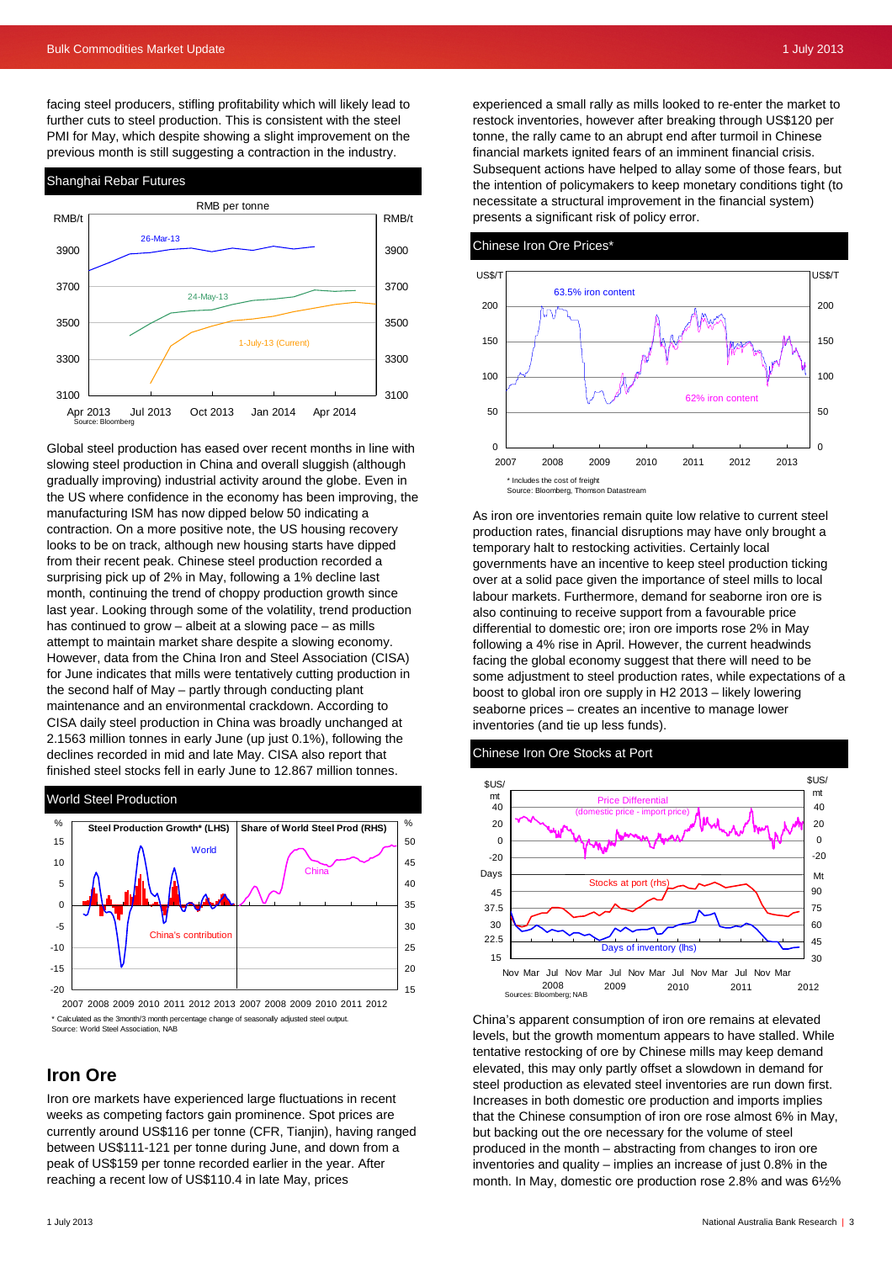facing steel producers, stifling profitability which will likely lead to further cuts to steel production. This is consistent with the steel PMI for May, which despite showing a slight improvement on the previous month is still suggesting a contraction in the industry.



Global steel production has eased over recent months in line with slowing steel production in China and overall sluggish (although gradually improving) industrial activity around the globe. Even in the US where confidence in the economy has been improving, the manufacturing ISM has now dipped below 50 indicating a contraction. On a more positive note, the US housing recovery looks to be on track, although new housing starts have dipped from their recent peak. Chinese steel production recorded a surprising pick up of 2% in May, following a 1% decline last month, continuing the trend of choppy production growth since last year. Looking through some of the volatility, trend production has continued to grow – albeit at a slowing pace – as mills attempt to maintain market share despite a slowing economy. However, data from the China Iron and Steel Association (CISA) for June indicates that mills were tentatively cutting production in the second half of May – partly through conducting plant maintenance and an environmental crackdown. According to CISA daily steel production in China was broadly unchanged at 2.1563 million tonnes in early June (up just 0.1%), following the declines recorded in mid and late May. CISA also report that finished steel stocks fell in early June to 12.867 million tonnes.



2007 2008 2009 2010 2011 2012 2013 2007 2008 2009 2010 2011 2012 Calculated as the 3month/3 month percentage change of seasonally adjusted steel output. Source: World Steel Association, NAB

## **Iron Ore**

Iron ore markets have experienced large fluctuations in recent weeks as competing factors gain prominence. Spot prices are currently around US\$116 per tonne (CFR, Tianjin), having ranged between US\$111-121 per tonne during June, and down from a peak of US\$159 per tonne recorded earlier in the year. After reaching a recent low of US\$110.4 in late May, prices

experienced a small rally as mills looked to re-enter the market to restock inventories, however after breaking through US\$120 per tonne, the rally came to an abrupt end after turmoil in Chinese financial markets ignited fears of an imminent financial crisis. Subsequent actions have helped to allay some of those fears, but the intention of policymakers to keep monetary conditions tight (to necessitate a structural improvement in the financial system) presents a significant risk of policy error.





As iron ore inventories remain quite low relative to current steel production rates, financial disruptions may have only brought a temporary halt to restocking activities. Certainly local governments have an incentive to keep steel production ticking over at a solid pace given the importance of steel mills to local labour markets. Furthermore, demand for seaborne iron ore is also continuing to receive support from a favourable price differential to domestic ore; iron ore imports rose 2% in May following a 4% rise in April. However, the current headwinds facing the global economy suggest that there will need to be some adjustment to steel production rates, while expectations of a boost to global iron ore supply in H2 2013 – likely lowering seaborne prices – creates an incentive to manage lower inventories (and tie up less funds).





China's apparent consumption of iron ore remains at elevated levels, but the growth momentum appears to have stalled. While tentative restocking of ore by Chinese mills may keep demand elevated, this may only partly offset a slowdown in demand for steel production as elevated steel inventories are run down first. Increases in both domestic ore production and imports implies that the Chinese consumption of iron ore rose almost 6% in May, but backing out the ore necessary for the volume of steel produced in the month – abstracting from changes to iron ore inventories and quality – implies an increase of just 0.8% in the month. In May, domestic ore production rose 2.8% and was 6½%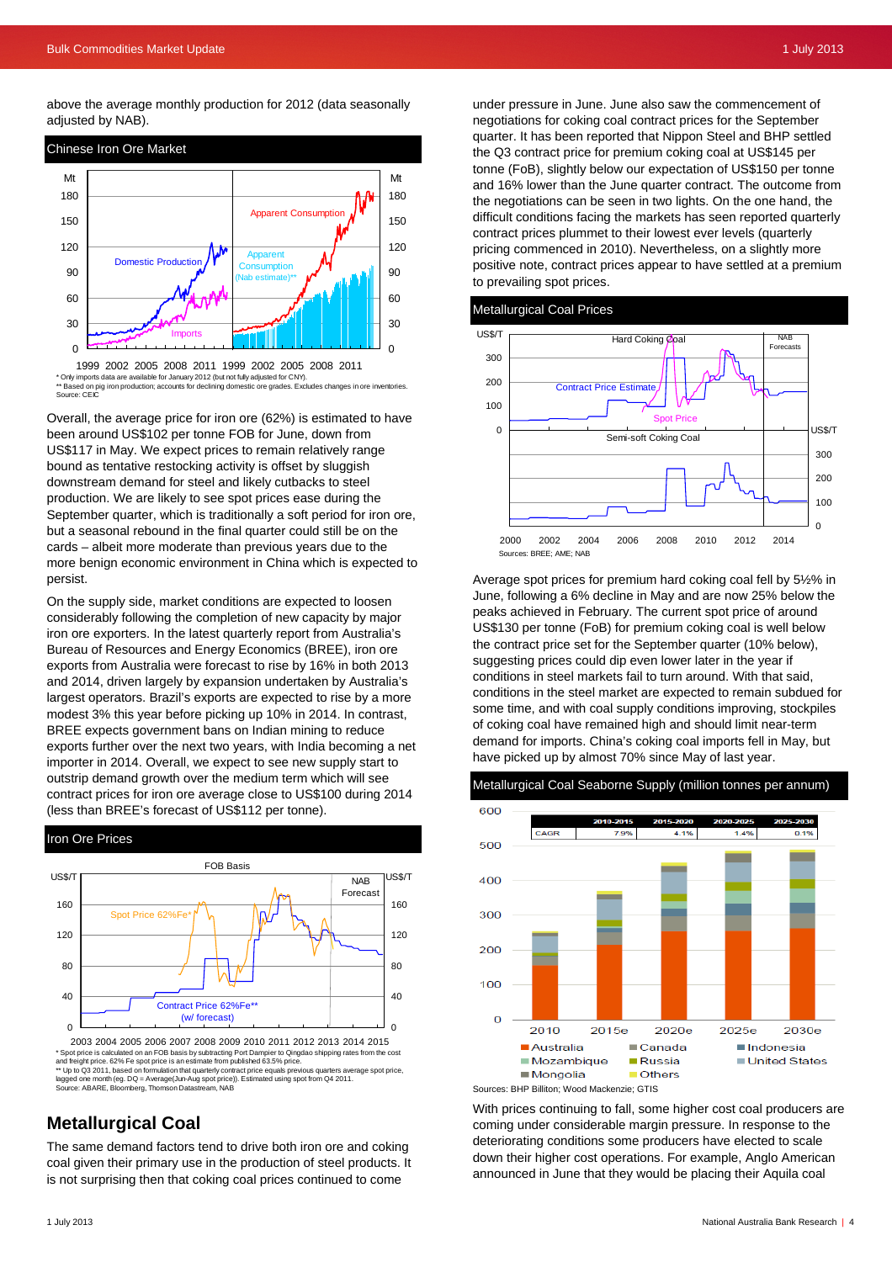above the average monthly production for 2012 (data seasonally adjusted by NAB).





\* Only imports data are available for January 2012 (but not fully adjusted for CNY). \*\* Based on pig iron production; accounts for declining domestic ore grades. Excludes changes in ore inventories. Source: CEI

Overall, the average price for iron ore (62%) is estimated to have been around US\$102 per tonne FOB for June, down from US\$117 in May. We expect prices to remain relatively range bound as tentative restocking activity is offset by sluggish downstream demand for steel and likely cutbacks to steel production. We are likely to see spot prices ease during the September quarter, which is traditionally a soft period for iron ore, but a seasonal rebound in the final quarter could still be on the cards – albeit more moderate than previous years due to the more benign economic environment in China which is expected to persist.

On the supply side, market conditions are expected to loosen considerably following the completion of new capacity by major iron ore exporters. In the latest quarterly report from Australia's Bureau of Resources and Energy Economics (BREE), iron ore exports from Australia were forecast to rise by 16% in both 2013 and 2014, driven largely by expansion undertaken by Australia's largest operators. Brazil's exports are expected to rise by a more modest 3% this year before picking up 10% in 2014. In contrast, BREE expects government bans on Indian mining to reduce exports further over the next two years, with India becoming a net importer in 2014. Overall, we expect to see new supply start to outstrip demand growth over the medium term which will see contract prices for iron ore average close to US\$100 during 2014 (less than BREE's forecast of US\$112 per tonne).



<sup>2003 2004 2005 2006 2007 2008 2009 2010 2011 2012 2013 2014 2015</sup> \* Spot price is calculated on an FOB basis by subtracting Port Dampier to Qingdao shipping rates from the cost and freight price. 62% Fe spot price is an estimate from published 63.5% price. \*\* Up to Q3 2011, based on formulation that quarterly contract price equals previous quarters average spot price, lagged one month (eg. DQ = Average(Jun-Aug spot price)). Estimated using spot from Q4 2011. Source: ABARE, Bloomberg, Thomson Datastream, NAB

## **Metallurgical Coal**

The same demand factors tend to drive both iron ore and coking coal given their primary use in the production of steel products. It is not surprising then that coking coal prices continued to come

under pressure in June. June also saw the commencement of negotiations for coking coal contract prices for the September quarter. It has been reported that Nippon Steel and BHP settled the Q3 contract price for premium coking coal at US\$145 per tonne (FoB), slightly below our expectation of US\$150 per tonne and 16% lower than the June quarter contract. The outcome from the negotiations can be seen in two lights. On the one hand, the difficult conditions facing the markets has seen reported quarterly contract prices plummet to their lowest ever levels (quarterly pricing commenced in 2010). Nevertheless, on a slightly more positive note, contract prices appear to have settled at a premium to prevailing spot prices.



Average spot prices for premium hard coking coal fell by 5½% in June, following a 6% decline in May and are now 25% below the peaks achieved in February. The current spot price of around US\$130 per tonne (FoB) for premium coking coal is well below the contract price set for the September quarter (10% below), suggesting prices could dip even lower later in the year if conditions in steel markets fail to turn around. With that said, conditions in the steel market are expected to remain subdued for some time, and with coal supply conditions improving, stockpiles of coking coal have remained high and should limit near-term demand for imports. China's coking coal imports fell in May, but have picked up by almost 70% since May of last year.



Metallurgical Coal Seaborne Supply (million tonnes per annum)

With prices continuing to fall, some higher cost coal producers are coming under considerable margin pressure. In response to the deteriorating conditions some producers have elected to scale down their higher cost operations. For example, Anglo American announced in June that they would be placing their Aquila coal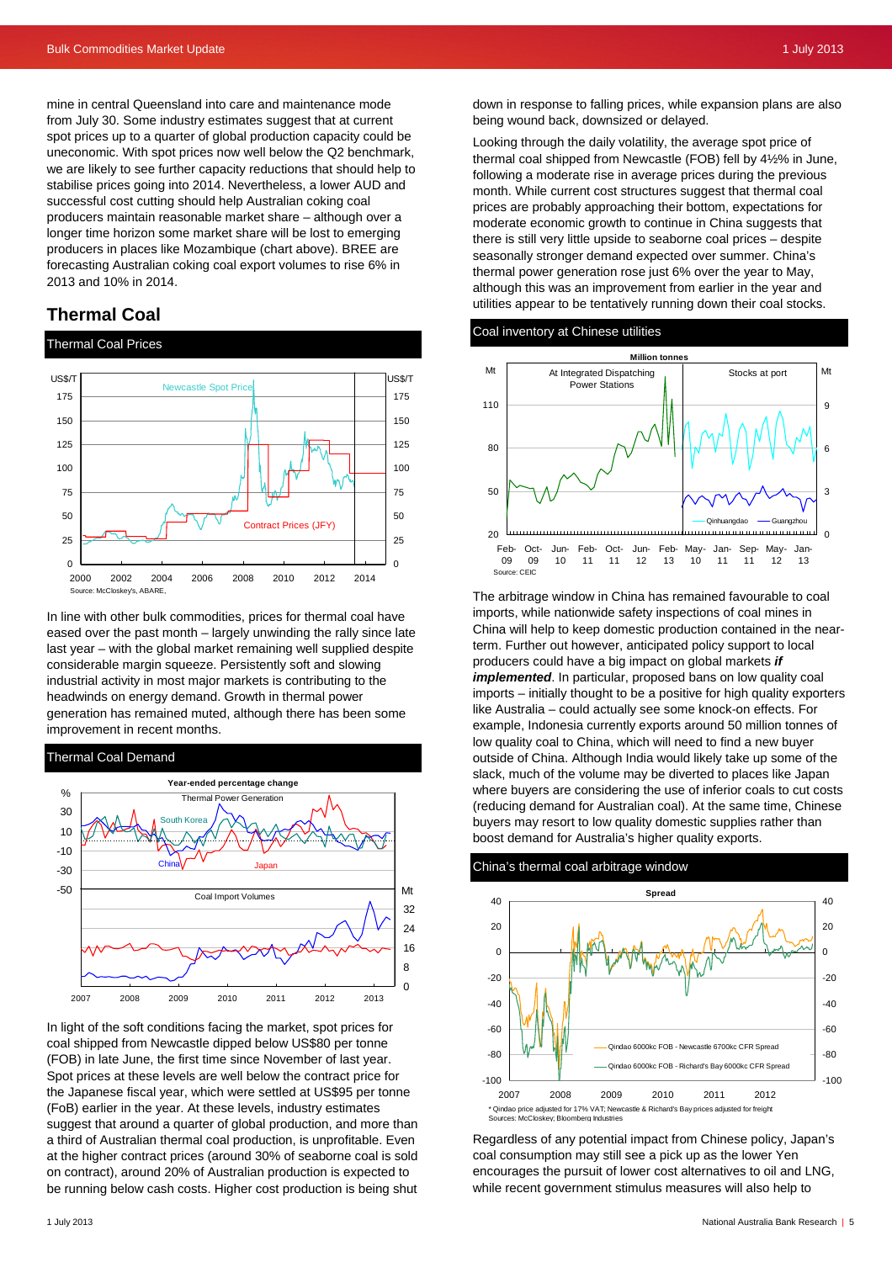mine in central Queensland into care and maintenance mode from July 30. Some industry estimates suggest that at current spot prices up to a quarter of global production capacity could be uneconomic. With spot prices now well below the Q2 benchmark, we are likely to see further capacity reductions that should help to stabilise prices going into 2014. Nevertheless, a lower AUD and successful cost cutting should help Australian coking coal producers maintain reasonable market share – although over a longer time horizon some market share will be lost to emerging producers in places like Mozambique (chart above). BREE are forecasting Australian coking coal export volumes to rise 6% in 2013 and 10% in 2014.

### **Thermal Coal**

#### Thermal Coal Prices



In line with other bulk commodities, prices for thermal coal have eased over the past month – largely unwinding the rally since late last year – with the global market remaining well supplied despite considerable margin squeeze. Persistently soft and slowing industrial activity in most major markets is contributing to the headwinds on energy demand. Growth in thermal power generation has remained muted, although there has been some improvement in recent months.

#### Thermal Coal Demand



In light of the soft conditions facing the market, spot prices for coal shipped from Newcastle dipped below US\$80 per tonne (FOB) in late June, the first time since November of last year. Spot prices at these levels are well below the contract price for the Japanese fiscal year, which were settled at US\$95 per tonne (FoB) earlier in the year. At these levels, industry estimates suggest that around a quarter of global production, and more than a third of Australian thermal coal production, is unprofitable. Even at the higher contract prices (around 30% of seaborne coal is sold on contract), around 20% of Australian production is expected to be running below cash costs. Higher cost production is being shut down in response to falling prices, while expansion plans are also being wound back, downsized or delayed.

Looking through the daily volatility, the average spot price of thermal coal shipped from Newcastle (FOB) fell by 4½% in June, following a moderate rise in average prices during the previous month. While current cost structures suggest that thermal coal prices are probably approaching their bottom, expectations for moderate economic growth to continue in China suggests that there is still very little upside to seaborne coal prices – despite seasonally stronger demand expected over summer. China's thermal power generation rose just 6% over the year to May, although this was an improvement from earlier in the year and utilities appear to be tentatively running down their coal stocks.

#### Coal inventory at Chinese utilities



The arbitrage window in China has remained favourable to coal imports, while nationwide safety inspections of coal mines in China will help to keep domestic production contained in the nearterm. Further out however, anticipated policy support to local producers could have a big impact on global markets *if implemented*. In particular, proposed bans on low quality coal imports – initially thought to be a positive for high quality exporters like Australia – could actually see some knock-on effects. For example, Indonesia currently exports around 50 million tonnes of low quality coal to China, which will need to find a new buyer outside of China. Although India would likely take up some of the slack, much of the volume may be diverted to places like Japan where buyers are considering the use of inferior coals to cut costs (reducing demand for Australian coal). At the same time, Chinese buyers may resort to low quality domestic supplies rather than boost demand for Australia's higher quality exports.

China's thermal coal arbitrage window



Sources: McCloskey; Bloomberg Industries

Regardless of any potential impact from Chinese policy, Japan's coal consumption may still see a pick up as the lower Yen encourages the pursuit of lower cost alternatives to oil and LNG, while recent government stimulus measures will also help to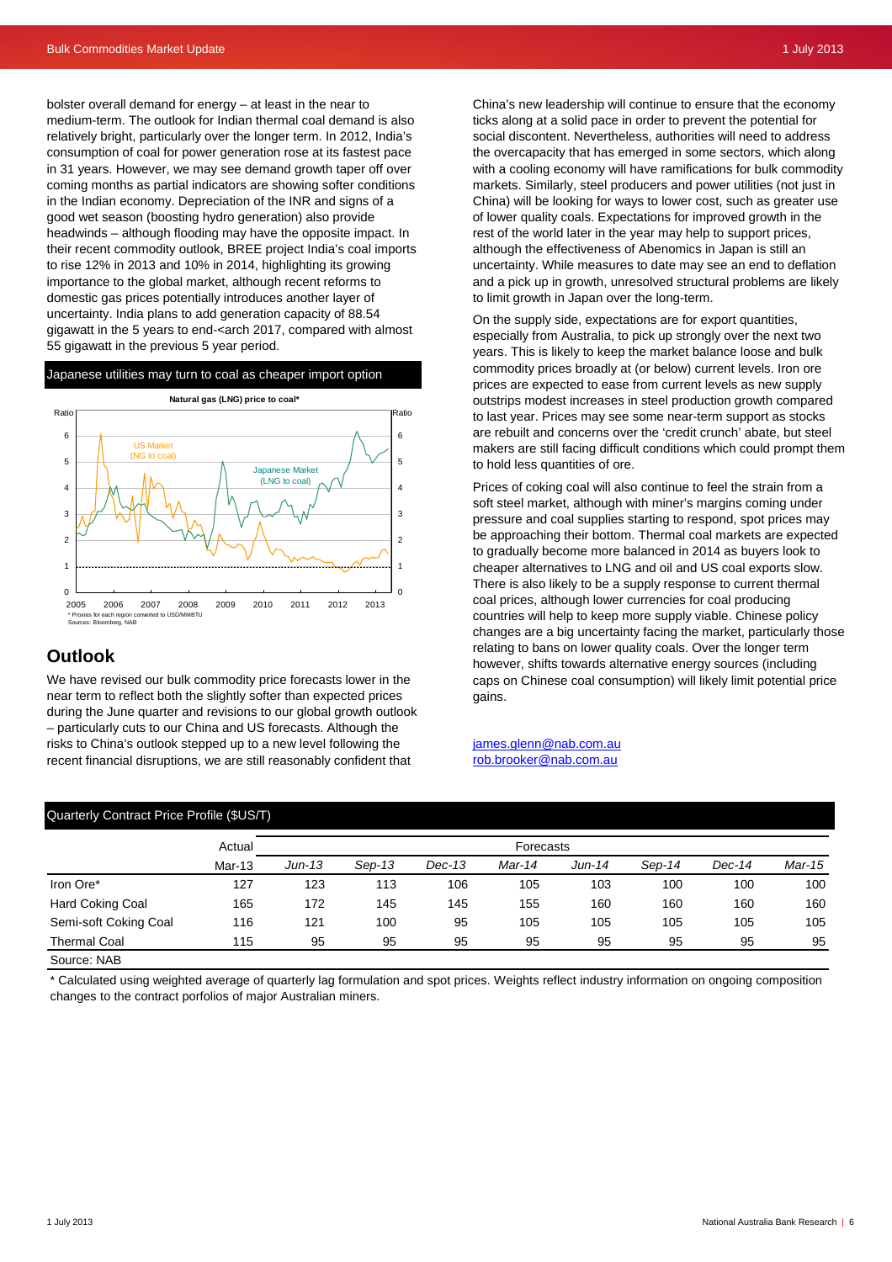bolster overall demand for energy – at least in the near to medium-term. The outlook for Indian thermal coal demand is also relatively bright, particularly over the longer term. In 2012, India's consumption of coal for power generation rose at its fastest pace in 31 years. However, we may see demand growth taper off over coming months as partial indicators are showing softer conditions in the Indian economy. Depreciation of the INR and signs of a good wet season (boosting hydro generation) also provide headwinds – although flooding may have the opposite impact. In their recent commodity outlook, BREE project India's coal imports to rise 12% in 2013 and 10% in 2014, highlighting its growing importance to the global market, although recent reforms to domestic gas prices potentially introduces another layer of uncertainty. India plans to add generation capacity of 88.54 gigawatt in the 5 years to end-<arch 2017, compared with almost 55 gigawatt in the previous 5 year period.

#### Japanese utilities may turn to coal as cheaper import option



### **Outlook**

We have revised our bulk commodity price forecasts lower in the near term to reflect both the slightly softer than expected prices during the June quarter and revisions to our global growth outlook – particularly cuts to our China and US forecasts. Although the risks to China's outlook stepped up to a new level following the recent financial disruptions, we are still reasonably confident that

Quarterly Contract Price Profile (\$US/T)

China's new leadership will continue to ensure that the economy ticks along at a solid pace in order to prevent the potential for social discontent. Nevertheless, authorities will need to address the overcapacity that has emerged in some sectors, which along with a cooling economy will have ramifications for bulk commodity markets. Similarly, steel producers and power utilities (not just in China) will be looking for ways to lower cost, such as greater use of lower quality coals. Expectations for improved growth in the rest of the world later in the year may help to support prices, although the effectiveness of Abenomics in Japan is still an uncertainty. While measures to date may see an end to deflation and a pick up in growth, unresolved structural problems are likely to limit growth in Japan over the long-term.

On the supply side, expectations are for export quantities, especially from Australia, to pick up strongly over the next two years. This is likely to keep the market balance loose and bulk commodity prices broadly at (or below) current levels. Iron ore prices are expected to ease from current levels as new supply outstrips modest increases in steel production growth compared to last year. Prices may see some near-term support as stocks are rebuilt and concerns over the 'credit crunch' abate, but steel makers are still facing difficult conditions which could prompt them to hold less quantities of ore.

Prices of coking coal will also continue to feel the strain from a soft steel market, although with miner's margins coming under pressure and coal supplies starting to respond, spot prices may be approaching their bottom. Thermal coal markets are expected to gradually become more balanced in 2014 as buyers look to cheaper alternatives to LNG and oil and US coal exports slow. There is also likely to be a supply response to current thermal coal prices, although lower currencies for coal producing countries will help to keep more supply viable. Chinese policy changes are a big uncertainty facing the market, particularly those relating to bans on lower quality coals. Over the longer term however, shifts towards alternative energy sources (including caps on Chinese coal consumption) will likely limit potential price gains.

#### james.glenn@nab.com.au rob.brooker@nab.com.au

| $\alpha$ and $\beta$ being and the product of $\beta$ |                    |           |        |        |        |        |          |        |        |
|-------------------------------------------------------|--------------------|-----------|--------|--------|--------|--------|----------|--------|--------|
|                                                       | Actual<br>$Mar-13$ | Forecasts |        |        |        |        |          |        |        |
|                                                       |                    | $Jun-13$  | Sep-13 | Dec-13 | Mar-14 | Jun-14 | $Sep-14$ | Dec-14 | Mar-15 |
| Iron Ore*                                             | 127                | 123       | 113    | 106    | 105    | 103    | 100      | 100    | 100    |
| <b>Hard Coking Coal</b>                               | 165                | 172       | 145    | 145    | 155    | 160    | 160      | 160    | 160    |
| Semi-soft Coking Coal                                 | 116                | 121       | 100    | 95     | 105    | 105    | 105      | 105    | 105    |
| <b>Thermal Coal</b>                                   | 115                | 95        | 95     | 95     | 95     | 95     | 95       | 95     | 95     |
| C <sub>OM</sub> ron: NAP                              |                    |           |        |        |        |        |          |        |        |

Source: NAB

\* Calculated using weighted average of quarterly lag formulation and spot prices. Weights reflect industry information on ongoing composition changes to the contract porfolios of major Australian miners.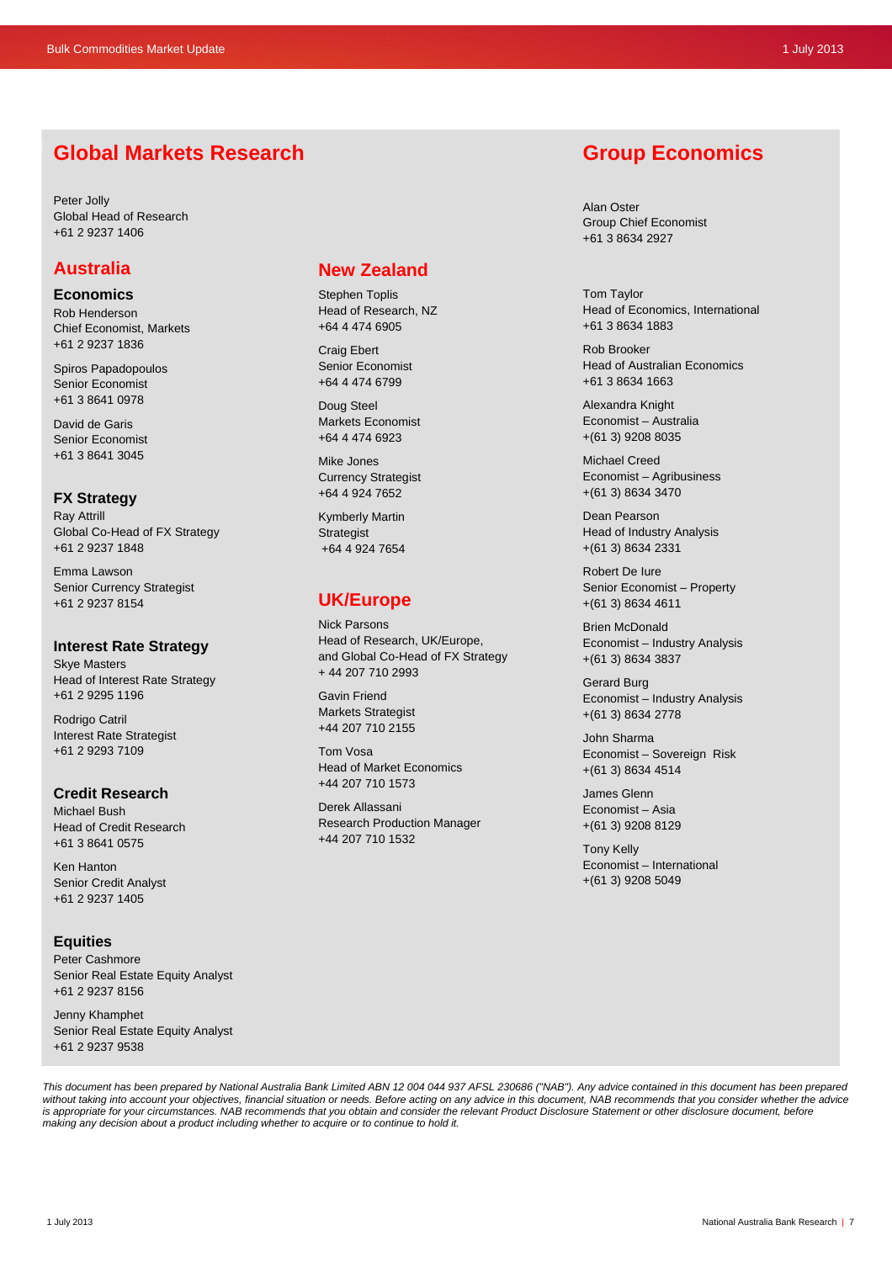## **Global Markets Research**

Peter Jolly Global Head of Research +61 2 9237 1406

## **Australia**

**Economics** 

Rob Henderson Chief Economist, Markets +61 2 9237 1836

Spiros Papadopoulos Senior Economist +61 3 8641 0978

David de Garis Senior Economist +61 3 8641 3045

## **FX Strategy**

Ray Attrill Global Co-Head of FX Strategy +61 2 9237 1848

Emma Lawson Senior Currency Strategist +61 2 9237 8154

#### **Interest Rate Strategy**

Skye Masters Head of Interest Rate Strategy +61 2 9295 1196

Rodrigo Catril Interest Rate Strategist +61 2 9293 7109

#### **Credit Research**

Michael Bush Head of Credit Research +61 3 8641 0575

Ken Hanton Senior Credit Analyst +61 2 9237 1405

#### **Equities**

Peter Cashmore Senior Real Estate Equity Analyst +61 2 9237 8156

Jenny Khamphet Senior Real Estate Equity Analyst +61 2 9237 9538

## **New Zealand**

Stephen Toplis Head of Research, NZ +64 4 474 6905

Craig Ebert Senior Economist +64 4 474 6799

Doug Steel Markets Economist +64 4 474 6923

Mike Jones Currency Strategist +64 4 924 7652

Kymberly Martin **Strategist** +64 4 924 7654

## **UK/Europe**

Nick Parsons Head of Research, UK/Europe, and Global Co-Head of FX Strategy + 44 207 710 2993

Gavin Friend Markets Strategist +44 207 710 2155

Tom Vosa Head of Market Economics +44 207 710 1573

Derek Allassani Research Production Manager +44 207 710 1532

## **Group Economics**

Alan Oster Group Chief Economist +61 3 8634 2927

Tom Taylor Head of Economics, International +61 3 8634 1883

Rob Brooker Head of Australian Economics +61 3 8634 1663

Alexandra Knight Economist – Australia +(61 3) 9208 8035

Michael Creed Economist – Agribusiness +(61 3) 8634 3470

Dean Pearson Head of Industry Analysis +(61 3) 8634 2331

Robert De Iure Senior Economist – Property +(61 3) 8634 4611

Brien McDonald Economist – Industry Analysis +(61 3) 8634 3837

Gerard Burg Economist – Industry Analysis +(61 3) 8634 2778

John Sharma Economist – Sovereign Risk +(61 3) 8634 4514

James Glenn Economist – Asia +(61 3) 9208 8129

Tony Kelly Economist – International +(61 3) 9208 5049

*This document has been prepared by National Australia Bank Limited ABN 12 004 044 937 AFSL 230686 ("NAB"). Any advice contained in this document has been prepared*  without taking into account your objectives, financial situation or needs. Before acting on any advice in this document, NAB recommends that you consider whether the advice is appropriate for your circumstances. NAB recommends that you obtain and consider the relevant Product Disclosure Statement or other disclosure document, before *making any decision about a product including whether to acquire or to continue to hold it.*